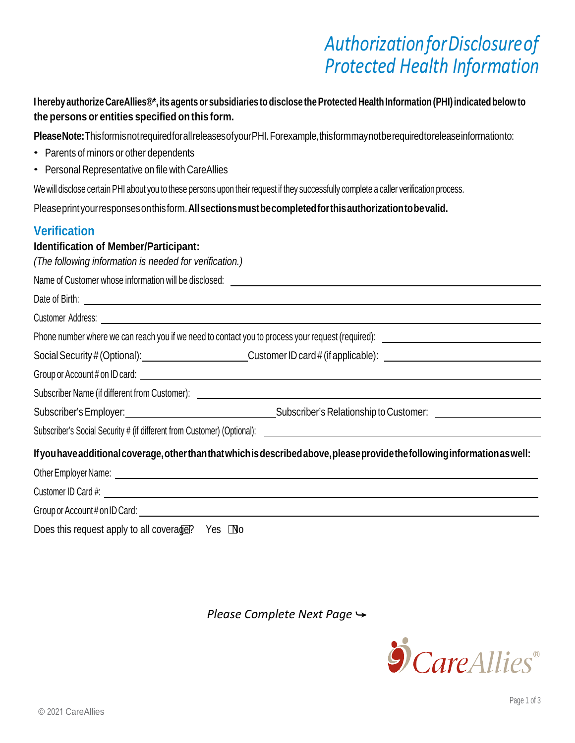# *AuthorizationforDisclosureof Protected Health Information*

**I hereby authorize CareAllies®\*, its agentsor subsidiaries to disclose the Protected Health Information (PHI) indicatedbelow to the persons or entities specified on this form.**

**PleaseNote:**ThisformisnotrequiredforallreleasesofyourPHI.Forexample,thisformmaynotberequiredtoreleaseinformationto:

- Parents of minors or other dependents
- Personal Representative on file with CareAllies

We will disclose certain PHI about you to these persons upon their request if they successfully complete a caller verification process.

Pleaseprintyourresponsesonthisform.**Allsectionsmust be completedforthis authorization tobevalid.**

### **Verification**

Date of Dirth:

#### **Identification of Member/Participant:**

*(The following information is needed for verification.)*

Name of Customer whose information will be disclosed:

| Dale VI Dillii.                              |
|----------------------------------------------|
| Customer Address:                            |
| Phone number where we can reach you if we ne |

none number where we can reach you if we need to contact you to process your request (required):  $\Box$ 

| Social Security # (Optional):<br>Customer ID card $#$ (if applicable): |  |
|------------------------------------------------------------------------|--|
|------------------------------------------------------------------------|--|

Group or Account # on ID card:  $\qquad \qquad \qquad$ 

Subscriber Name (if different from Customer):

Subscriber's Employer: Subscriber's Relationship to Customer:

Subscriber's Social Security # (if different from Customer) (Optional):

#### **Ifyouhave additional coverage,otherthanthatwhichisdescribedabove,please provide thefollowing information aswell:**

| Other Employer Name: |  |
|----------------------|--|
|                      |  |

Customer ID Card #:

Group or Account # on ID Card:

Does this request apply to all coverage? Yes  $\Box$  No

*Please Complete Next Page →* 

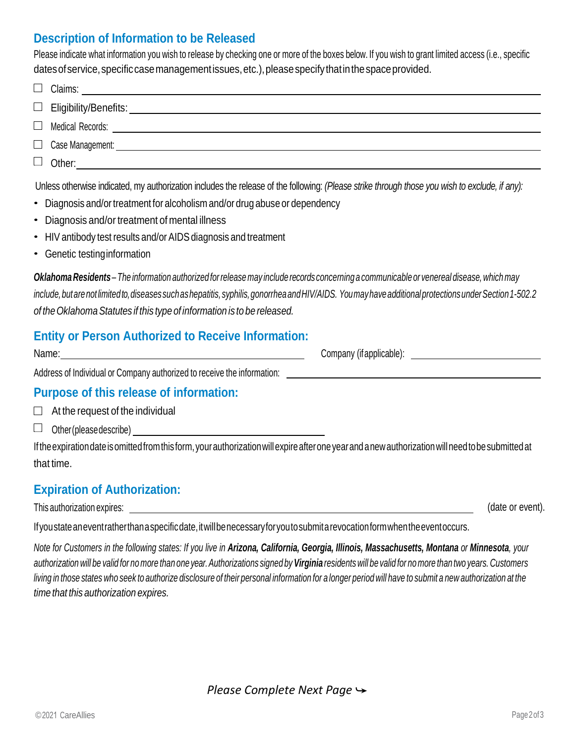### **Description of Information to be Released**

Please indicate what information you wish to release by checking one or more of the boxes below. If you wish to grant limited access (i.e., specific dates of service, specific case management issues, etc.), please specify that in the space provided.

| $\mathbb{R}$ |                  |
|--------------|------------------|
|              |                  |
|              |                  |
|              | Case Management: |
|              | $\Box$ Other:    |

Unless otherwise indicated, my authorization includes the release of the following: *(Please strike through those you wish to exclude, if any):*

- Diagnosis and/or treatment for alcoholism and/or drug abuse or dependency
- Diagnosis and/or treatment of mental illness
- HIV antibody test results and/or AIDS diagnosis and treatment
- Genetic testing information

*OklahomaResidents – The information authorizedforrelease may includerecords concerning a communicable or venereal disease, which may include,butarenotlimitedto,diseasessuchashepatitis,syphilis,gonorrheaandHIV/AIDS. YoumayhaveadditionalprotectionsunderSection 1-502.2 of theOklahomaStatutes if this type of information is to be released.*

### **Entity or Person Authorized to Receive Information:**

| Name: | Company<br>(if applicable): |
|-------|-----------------------------|
|       |                             |

Address of Individual or Company authorized to receive the information:

#### **Purpose of this release of information:**

 $\Box$  At the request of the individual

□ Other(pleasedescribe) \_\_\_\_\_\_\_\_\_\_

Iftheexpirationdateisomittedfromthisform,yourauthorizationwillexpireafteroneyearand a newauthorizationwillneedtobesubmittedat that time.

### **Expiration of Authorization:**

This authorization expires:

(date or event).

If you state an event rather than a specific date, it will be necessary for you to submit a revocation form when the event occurs.

*Note for Customers in the following states: If you live in Arizona, California, Georgia, Illinois, Massachusetts, Montana or Minnesota, your*  authorization will be valid for no more than one year. Authorizations signed by Virginia residents will be valid for no more than two years. Customers living in those states who seek to authorize disclosure of their personal information for a longer period will have to submit a new authorization at the *time that this authorization expires.*

*Please Complete Next Page →*